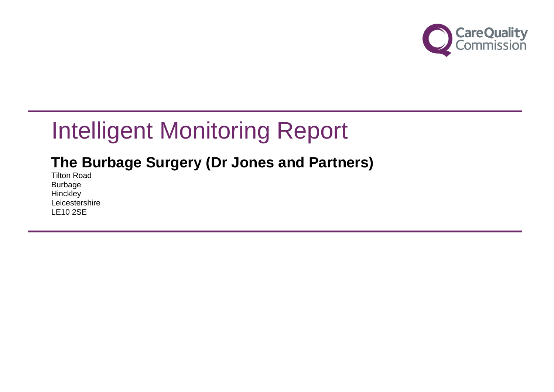

## **The Burbage Surgery (Dr Jones and Partners)**

Tilton Road Burbage **Hinckley** Leicestershire LE10 2SE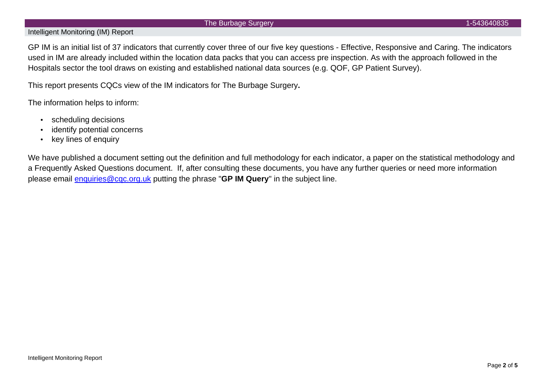#### The Burbage Surgery 1-543640835

#### Intelligent Monitoring (IM) Report

GP IM is an initial list of 37 indicators that currently cover three of our five key questions - Effective, Responsive and Caring. The indicators used in IM are already included within the location data packs that you can access pre inspection. As with the approach followed in the Hospitals sector the tool draws on existing and established national data sources (e.g. QOF, GP Patient Survey).

This report presents CQCs view of the IM indicators for The Burbage Surgery**.**

The information helps to inform:

- scheduling decisions
- identify potential concerns
- key lines of enquiry

We have published a document setting out the definition and full methodology for each indicator, a paper on the statistical methodology and a Frequently Asked Questions document. If, after consulting these documents, you have any further queries or need more information please email [enquiries@cqc.org.uk](mailto:enquiries@cqc.org.uk) putting the phrase "**GP IM Query**" in the subject line.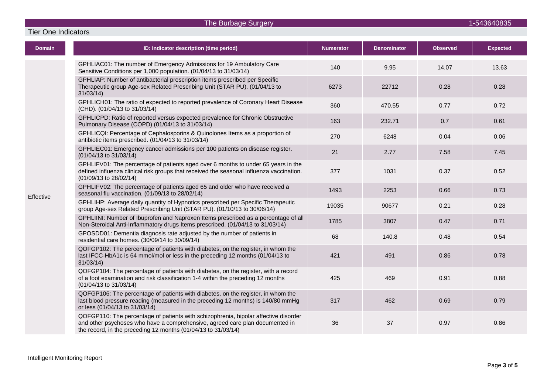Tier One Indicators

| Domain    | ID: Indicator description (time period)                                                                                                                                                                                              | <b>Numerator</b> | <b>Denominator</b> | <b>Observed</b> | <b>Expected</b> |
|-----------|--------------------------------------------------------------------------------------------------------------------------------------------------------------------------------------------------------------------------------------|------------------|--------------------|-----------------|-----------------|
| Effective | GPHLIAC01: The number of Emergency Admissions for 19 Ambulatory Care<br>Sensitive Conditions per 1,000 population. (01/04/13 to 31/03/14)                                                                                            | 140              | 9.95               | 14.07           | 13.63           |
|           | GPHLIAP: Number of antibacterial prescription items prescribed per Specific<br>Therapeutic group Age-sex Related Prescribing Unit (STAR PU). (01/04/13 to<br>31/03/14                                                                | 6273             | 22712              | 0.28            | 0.28            |
|           | GPHLICH01: The ratio of expected to reported prevalence of Coronary Heart Disease<br>(CHD). (01/04/13 to 31/03/14)                                                                                                                   | 360              | 470.55             | 0.77            | 0.72            |
|           | GPHLICPD: Ratio of reported versus expected prevalence for Chronic Obstructive<br>Pulmonary Disease (COPD) (01/04/13 to 31/03/14)                                                                                                    | 163              | 232.71             | 0.7             | 0.61            |
|           | GPHLICQI: Percentage of Cephalosporins & Quinolones Items as a proportion of<br>antibiotic items prescribed. (01/04/13 to 31/03/14)                                                                                                  | 270              | 6248               | 0.04            | 0.06            |
|           | GPHLIEC01: Emergency cancer admissions per 100 patients on disease register.<br>(01/04/13 to 31/03/14)                                                                                                                               | 21               | 2.77               | 7.58            | 7.45            |
|           | GPHLIFV01: The percentage of patients aged over 6 months to under 65 years in the<br>defined influenza clinical risk groups that received the seasonal influenza vaccination.<br>(01/09/13 to 28/02/14)                              | 377              | 1031               | 0.37            | 0.52            |
|           | GPHLIFV02: The percentage of patients aged 65 and older who have received a<br>seasonal flu vaccination. (01/09/13 to 28/02/14)                                                                                                      | 1493             | 2253               | 0.66            | 0.73            |
|           | GPHLIHP: Average daily quantity of Hypnotics prescribed per Specific Therapeutic<br>group Age-sex Related Prescribing Unit (STAR PU). (01/10/13 to 30/06/14)                                                                         | 19035            | 90677              | 0.21            | 0.28            |
|           | GPHLIINI: Number of Ibuprofen and Naproxen Items prescribed as a percentage of all<br>Non-Steroidal Anti-Inflammatory drugs Items prescribed. (01/04/13 to 31/03/14)                                                                 | 1785             | 3807               | 0.47            | 0.71            |
|           | GPOSDD01: Dementia diagnosis rate adjusted by the number of patients in<br>residential care homes. (30/09/14 to 30/09/14)                                                                                                            | 68               | 140.8              | 0.48            | 0.54            |
|           | QOFGP102: The percentage of patients with diabetes, on the register, in whom the<br>last IFCC-HbA1c is 64 mmol/mol or less in the preceding 12 months (01/04/13 to<br>31/03/14                                                       | 421              | 491                | 0.86            | 0.78            |
|           | QOFGP104: The percentage of patients with diabetes, on the register, with a record<br>of a foot examination and risk classification 1-4 within the preceding 12 months<br>(01/04/13 to 31/03/14)                                     | 425              | 469                | 0.91            | 0.88            |
|           | QOFGP106: The percentage of patients with diabetes, on the register, in whom the<br>last blood pressure reading (measured in the preceding 12 months) is 140/80 mmHg<br>or less (01/04/13 to 31/03/14)                               | 317              | 462                | 0.69            | 0.79            |
|           | QOFGP110: The percentage of patients with schizophrenia, bipolar affective disorder<br>and other psychoses who have a comprehensive, agreed care plan documented in<br>the record, in the preceding 12 months (01/04/13 to 31/03/14) | 36               | 37                 | 0.97            | 0.86            |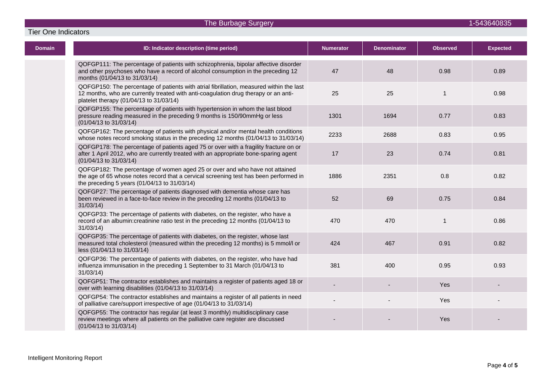Tier One Indicators

| <b>Domain</b> | ID: Indicator description (time period)                                                                                                                                                                                   | <b>Numerator</b> | <b>Denominator</b> | <b>Observed</b> | <b>Expected</b> |
|---------------|---------------------------------------------------------------------------------------------------------------------------------------------------------------------------------------------------------------------------|------------------|--------------------|-----------------|-----------------|
|               | QOFGP111: The percentage of patients with schizophrenia, bipolar affective disorder<br>and other psychoses who have a record of alcohol consumption in the preceding 12<br>months (01/04/13 to 31/03/14)                  | 47               | 48                 | 0.98            | 0.89            |
|               | QOFGP150: The percentage of patients with atrial fibrillation, measured within the last<br>12 months, who are currently treated with anti-coagulation drug therapy or an anti-<br>platelet therapy (01/04/13 to 31/03/14) | 25               | 25                 | $\mathbf{1}$    | 0.98            |
|               | QOFGP155: The percentage of patients with hypertension in whom the last blood<br>pressure reading measured in the preceding 9 months is 150/90mmHg or less<br>(01/04/13 to 31/03/14)                                      | 1301             | 1694               | 0.77            | 0.83            |
|               | QOFGP162: The percentage of patients with physical and/or mental health conditions<br>whose notes record smoking status in the preceding 12 months (01/04/13 to 31/03/14)                                                 | 2233             | 2688               | 0.83            | 0.95            |
|               | QOFGP178: The percentage of patients aged 75 or over with a fragility fracture on or<br>after 1 April 2012, who are currently treated with an appropriate bone-sparing agent<br>(01/04/13 to 31/03/14)                    | 17               | 23                 | 0.74            | 0.81            |
|               | QOFGP182: The percentage of women aged 25 or over and who have not attained<br>the age of 65 whose notes record that a cervical screening test has been performed in<br>the preceding 5 years (01/04/13 to 31/03/14)      | 1886             | 2351               | 0.8             | 0.82            |
|               | QOFGP27: The percentage of patients diagnosed with dementia whose care has<br>been reviewed in a face-to-face review in the preceding 12 months (01/04/13 to<br>31/03/14                                                  | 52               | 69                 | 0.75            | 0.84            |
|               | QOFGP33: The percentage of patients with diabetes, on the register, who have a<br>record of an albumin: creatinine ratio test in the preceding 12 months (01/04/13 to<br>31/03/14                                         | 470              | 470                | 1               | 0.86            |
|               | QOFGP35: The percentage of patients with diabetes, on the register, whose last<br>measured total cholesterol (measured within the preceding 12 months) is 5 mmol/l or<br>less (01/04/13 to 31/03/14)                      | 424              | 467                | 0.91            | 0.82            |
|               | QOFGP36: The percentage of patients with diabetes, on the register, who have had<br>influenza immunisation in the preceding 1 September to 31 March (01/04/13 to<br>31/03/14                                              | 381              | 400                | 0.95            | 0.93            |
|               | QOFGP51: The contractor establishes and maintains a register of patients aged 18 or<br>over with learning disabilities (01/04/13 to 31/03/14)                                                                             |                  |                    | Yes             |                 |
|               | QOFGP54: The contractor establishes and maintains a register of all patients in need<br>of palliative care/support irrespective of age (01/04/13 to 31/03/14)                                                             |                  |                    | Yes             |                 |
|               | QOFGP55: The contractor has regular (at least 3 monthly) multidisciplinary case<br>review meetings where all patients on the palliative care register are discussed<br>(01/04/13 to 31/03/14)                             |                  |                    | Yes             |                 |